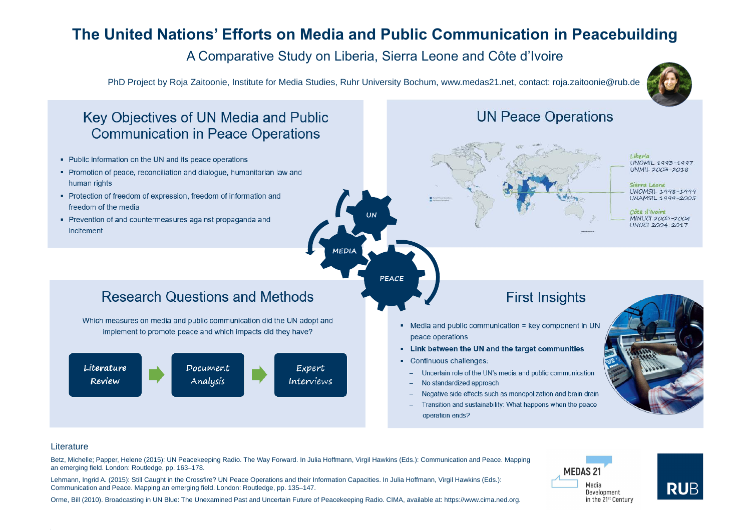## The United Nations' Efforts on Media and Public Communication in Peacebuilding A Comparative Study on Liberia, Sierra Leone and Côte d'Ivoire

**UN** 

MEDIA

PhD Project by Roja Zaitoonie, Institute for Media Studies, Ruhr University Bochum, www.medas21.net, contact: roja.zaitoonie@rub.de

### Key Objectives of UN Media and Public **Communication in Peace Operations**

- Public information on the UN and its peace operations
- Promotion of peace, reconciliation and dialogue, humanitarian law and human rights
- Protection of freedom of expression, freedom of information and freedom of the media
- Prevention of and countermeasures against propaganda and incitement



### Literature

Betz, Michelle; Papper, Helene (2015): UN Peacekeeping Radio. The Way Forward. In Julia Hoffmann, Virgil Hawkins (Eds.): Communication and Peace. Mapping an emerging field. London: Routledge, pp. 163–178.

Lehmann, Ingrid A. (2015): Still Caught in the Crossfire? UN Peace Operations and their Information Capacities. In Julia Hoffmann, Virgil Hawkins (Eds.): Communication and Peace. Mapping an emerging field. London: Routledge, pp. 135–147.

Orme, Bill (2010). Broadcasting in UN Blue: The Unexamined Past and Uncertain Future of Peacekeeping Radio. CIMA, available at: https://www.cima.ned.org.

### Research Questions and Methods

Which measures on media and public communication did the UN adopt and implement to promote peace and which impacts did they have?

> Document Analysis



Expert Interviews

### **UN Peace Operations**





## **First Insights**

- Media and public communication = key component in UN peace operations
- Link between the UN and the target communities
- Continuous challenges:
- Uncertain role of the UN's media and public communication
- No standardized approach  $\sim$
- Negative side effects such as monopolization and brain drain  $\sim$  100  $\pm$
- Transition and sustainability: What happens when the peace operation ends?







Liberia UNOMIL 1993-1997 UNMIL 2003-2018

Sierra Leone UNOMSIL 1998-1999 UNAMSIL 1999-2005

Côte d'Ivoire MINUCI 2003-2004 UNOCI 2004-2017



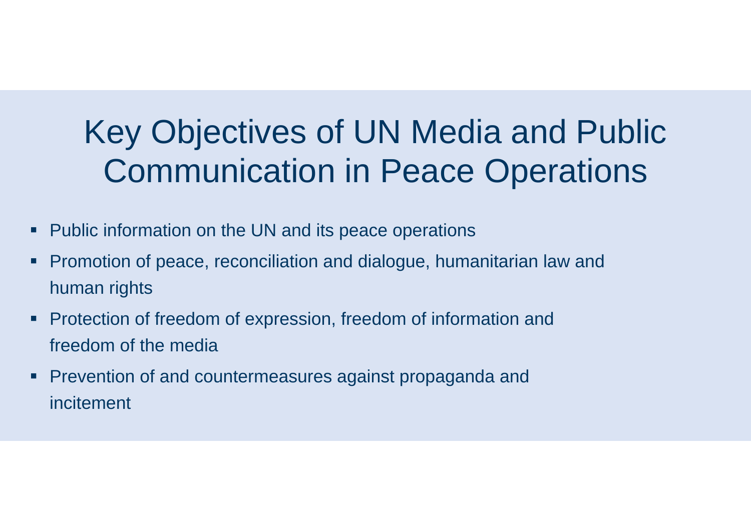## <span id="page-1-0"></span>Key Objectives of UN Media and Public Communication in Peace Operations

- **Public information on the UN and its peace operations**
- **Promotion of peace, reconciliation and dialogue, humanitarian law and** human rights
- Protection of freedom of expression, freedom of information and freedom of the media
- Prevention of and countermeasures against propaganda and incitement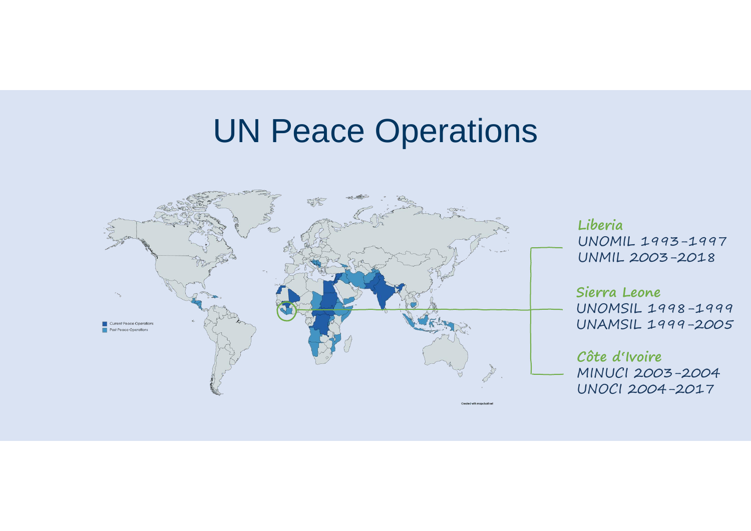## UN Peace Operations

<span id="page-2-0"></span>

**Sierra Leone**  UNOMSIL 1998-1999 UNAMSIL 1999-2005

UNOMIL 1993-1997 UNMIL 2003-2018

**Côte d'Ivoire**  MINUCI 2003-2004 UNOCI 2004-2017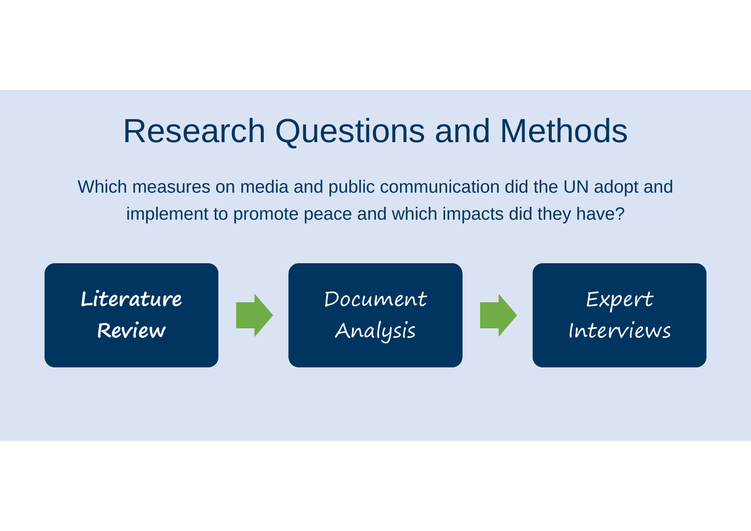



Expert Interviews

## <span id="page-3-0"></span>Research Questions and Methods

Which measures on media and public communication did the UN adopt and implement to promote peace and which impacts did they have?